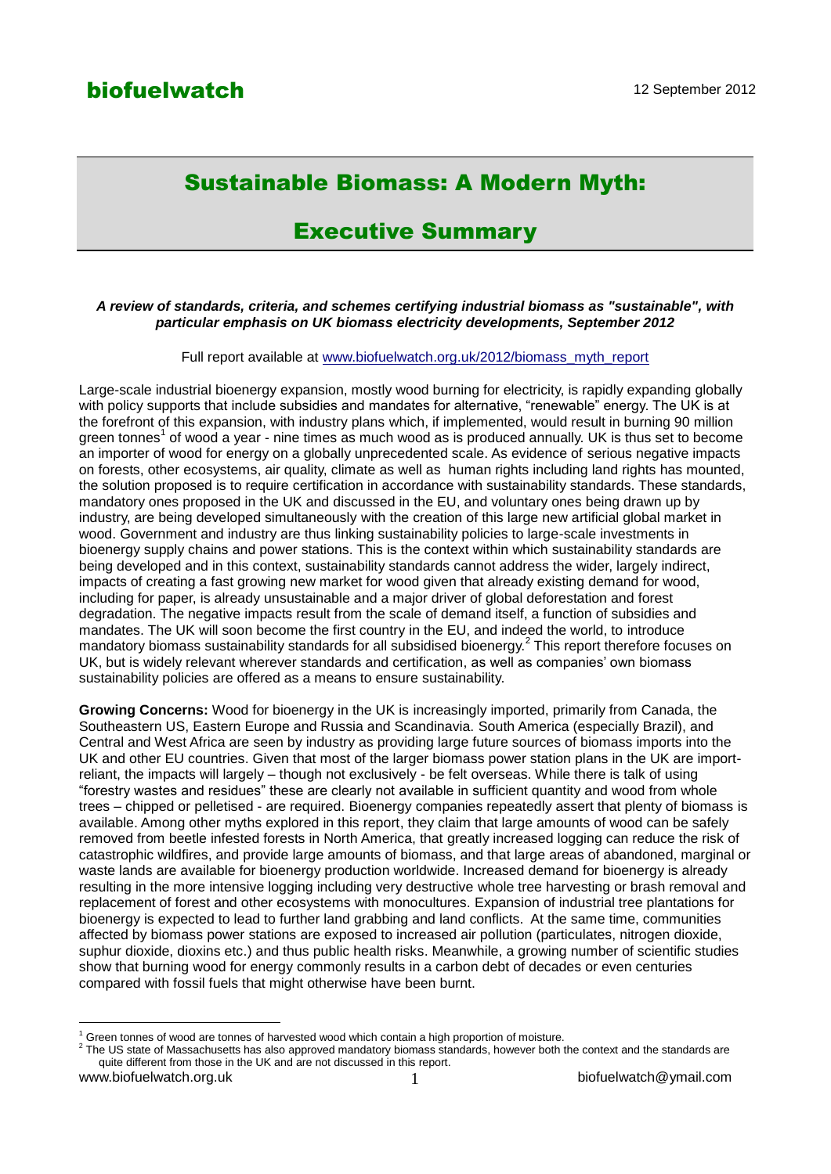# Sustainable Biomass: A Modern Myth:

## Executive Summary

#### *A review of standards, criteria, and schemes certifying industrial biomass as "sustainable", with particular emphasis on UK biomass electricity developments, September 2012*

Full report available at [www.biofuelwatch.org.uk/2012/biomass\\_myth\\_report](http://www.biofuelwatch.org.uk/2012/biomass_myth_report)

Large-scale industrial bioenergy expansion, mostly wood burning for electricity, is rapidly expanding globally with policy supports that include subsidies and mandates for alternative, "renewable" energy. The UK is at the forefront of this expansion, with industry plans which, if implemented, would result in burning 90 million green tonnes<sup>1</sup> of wood a year - nine times as much wood as is produced annually. UK is thus set to become an importer of wood for energy on a globally unprecedented scale. As evidence of serious negative impacts on forests, other ecosystems, air quality, climate as well as human rights including land rights has mounted, the solution proposed is to require certification in accordance with sustainability standards. These standards, mandatory ones proposed in the UK and discussed in the EU, and voluntary ones being drawn up by industry, are being developed simultaneously with the creation of this large new artificial global market in wood. Government and industry are thus linking sustainability policies to large-scale investments in bioenergy supply chains and power stations. This is the context within which sustainability standards are being developed and in this context, sustainability standards cannot address the wider, largely indirect, impacts of creating a fast growing new market for wood given that already existing demand for wood, including for paper, is already unsustainable and a major driver of global deforestation and forest degradation. The negative impacts result from the scale of demand itself, a function of subsidies and mandates. The UK will soon become the first country in the EU, and indeed the world, to introduce mandatory biomass sustainability standards for all subsidised bioenergy.<sup>2</sup> This report therefore focuses on UK, but is widely relevant wherever standards and certification, as well as companies' own biomass sustainability policies are offered as a means to ensure sustainability.

**Growing Concerns:** Wood for bioenergy in the UK is increasingly imported, primarily from Canada, the Southeastern US, Eastern Europe and Russia and Scandinavia. South America (especially Brazil), and Central and West Africa are seen by industry as providing large future sources of biomass imports into the UK and other EU countries. Given that most of the larger biomass power station plans in the UK are importreliant, the impacts will largely – though not exclusively - be felt overseas. While there is talk of using "forestry wastes and residues" these are clearly not available in sufficient quantity and wood from whole trees – chipped or pelletised - are required. Bioenergy companies repeatedly assert that plenty of biomass is available. Among other myths explored in this report, they claim that large amounts of wood can be safely removed from beetle infested forests in North America, that greatly increased logging can reduce the risk of catastrophic wildfires, and provide large amounts of biomass, and that large areas of abandoned, marginal or waste lands are available for bioenergy production worldwide. Increased demand for bioenergy is already resulting in the more intensive logging including very destructive whole tree harvesting or brash removal and replacement of forest and other ecosystems with monocultures. Expansion of industrial tree plantations for bioenergy is expected to lead to further land grabbing and land conflicts. At the same time, communities affected by biomass power stations are exposed to increased air pollution (particulates, nitrogen dioxide, suphur dioxide, dioxins etc.) and thus public health risks. Meanwhile, a growing number of scientific studies show that burning wood for energy commonly results in a carbon debt of decades or even centuries compared with fossil fuels that might otherwise have been burnt.

1

 $1$  Green tonnes of wood are tonnes of harvested wood which contain a high proportion of moisture.

<sup>2</sup> The US state of Massachusetts has also approved mandatory biomass standards, however both the context and the standards are quite different from those in the UK and are not discussed in this report.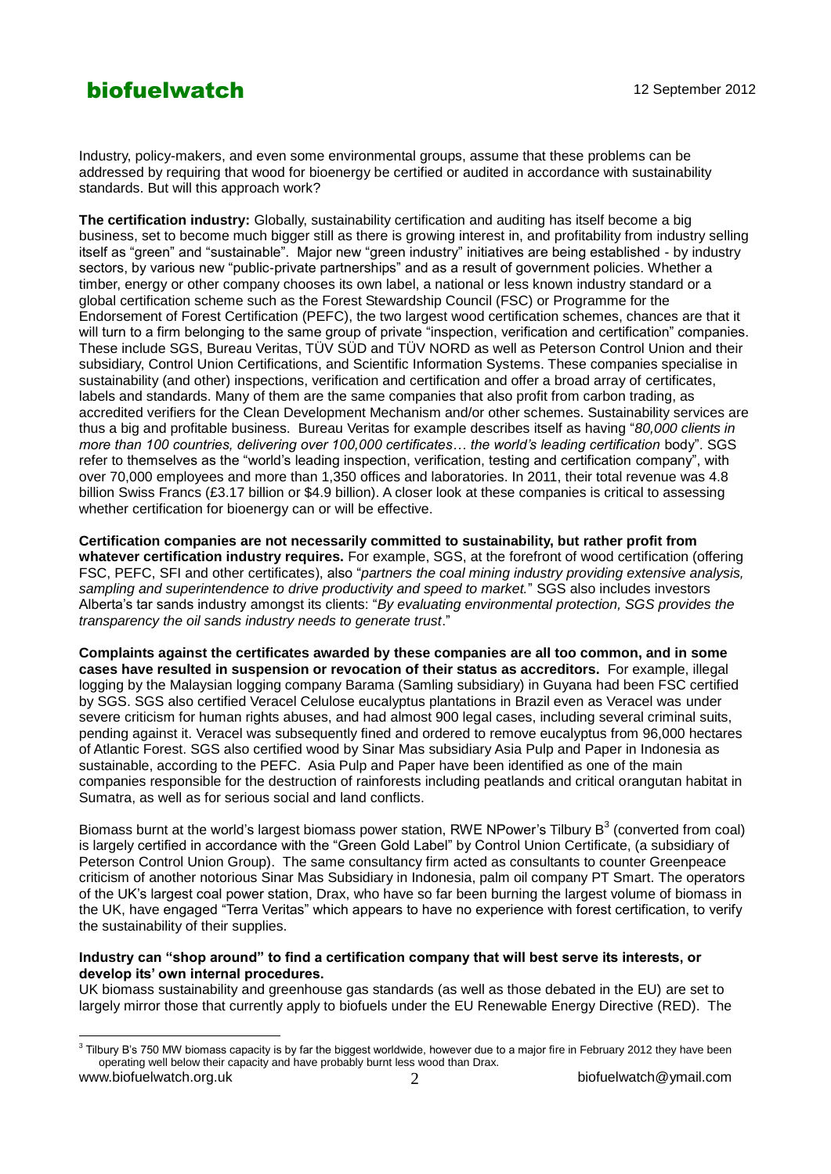### **biofuelwatch** 12 September 2012

Industry, policy-makers, and even some environmental groups, assume that these problems can be addressed by requiring that wood for bioenergy be certified or audited in accordance with sustainability standards. But will this approach work?

**The certification industry:** Globally, sustainability certification and auditing has itself become a big business, set to become much bigger still as there is growing interest in, and profitability from industry selling itself as "green" and "sustainable". Major new "green industry" initiatives are being established - by industry sectors, by various new "public-private partnerships" and as a result of government policies. Whether a timber, energy or other company chooses its own label, a national or less known industry standard or a global certification scheme such as the Forest Stewardship Council (FSC) or Programme for the Endorsement of Forest Certification (PEFC), the two largest wood certification schemes, chances are that it will turn to a firm belonging to the same group of private "inspection, verification and certification" companies. These include SGS, Bureau Veritas, TÜV SÜD and TÜV NORD as well as Peterson Control Union and their subsidiary, Control Union Certifications, and Scientific Information Systems. These companies specialise in sustainability (and other) inspections, verification and certification and offer a broad array of certificates, labels and standards. Many of them are the same companies that also profit from carbon trading, as accredited verifiers for the Clean Development Mechanism and/or other schemes. Sustainability services are thus a big and profitable business. Bureau Veritas for example describes itself as having "*80,000 clients in more than 100 countries, delivering over 100,000 certificates… the world's leading certification* body". SGS refer to themselves as the "world's leading inspection, verification, testing and certification company", with over 70,000 employees and more than 1,350 offices and laboratories. In 2011, their total revenue was 4.8 billion Swiss Francs (£3.17 billion or \$4.9 billion). A closer look at these companies is critical to assessing whether certification for bioenergy can or will be effective.

**Certification companies are not necessarily committed to sustainability, but rather profit from whatever certification industry requires.** For example, SGS, at the forefront of wood certification (offering FSC, PEFC, SFI and other certificates), also "*partners the coal mining industry providing extensive analysis, sampling and superintendence to drive productivity and speed to market.*" SGS also includes investors Alberta's tar sands industry amongst its clients: "*By evaluating environmental protection, SGS provides the transparency the oil sands industry needs to generate trust*."

**Complaints against the certificates awarded by these companies are all too common, and in some cases have resulted in suspension or revocation of their status as accreditors.** For example, illegal logging by the Malaysian logging company Barama (Samling subsidiary) in Guyana had been FSC certified by SGS. SGS also certified Veracel Celulose eucalyptus plantations in Brazil even as Veracel was under severe criticism for human rights abuses, and had almost 900 legal cases, including several criminal suits, pending against it. Veracel was subsequently fined and ordered to remove eucalyptus from 96,000 hectares of Atlantic Forest. SGS also certified wood by Sinar Mas subsidiary Asia Pulp and Paper in Indonesia as sustainable, according to the PEFC. Asia Pulp and Paper have been identified as one of the main companies responsible for the destruction of rainforests including peatlands and critical orangutan habitat in Sumatra, as well as for serious social and land conflicts.

Biomass burnt at the world's largest biomass power station, RWE NPower's Tilbury B<sup>3</sup> (converted from coal) is largely certified in accordance with the "Green Gold Label" by Control Union Certificate, (a subsidiary of Peterson Control Union Group). The same consultancy firm acted as consultants to counter Greenpeace criticism of another notorious Sinar Mas Subsidiary in Indonesia, palm oil company PT Smart. The operators of the UK's largest coal power station, Drax, who have so far been burning the largest volume of biomass in the UK, have engaged "Terra Veritas" which appears to have no experience with forest certification, to verify the sustainability of their supplies.

#### **Industry can "shop around" to find a certification company that will best serve its interests, or develop its' own internal procedures.**

UK biomass sustainability and greenhouse gas standards (as well as those debated in the EU) are set to largely mirror those that currently apply to biofuels under the EU Renewable Energy Directive (RED). The

www.biofuelwatch.org.uk 2 biofuelwatch@ymail.com 3 Tilbury B's 750 MW biomass capacity is by far the biggest worldwide, however due to a major fire in February 2012 they have been operating well below their capacity and have probably burnt less wood than Drax.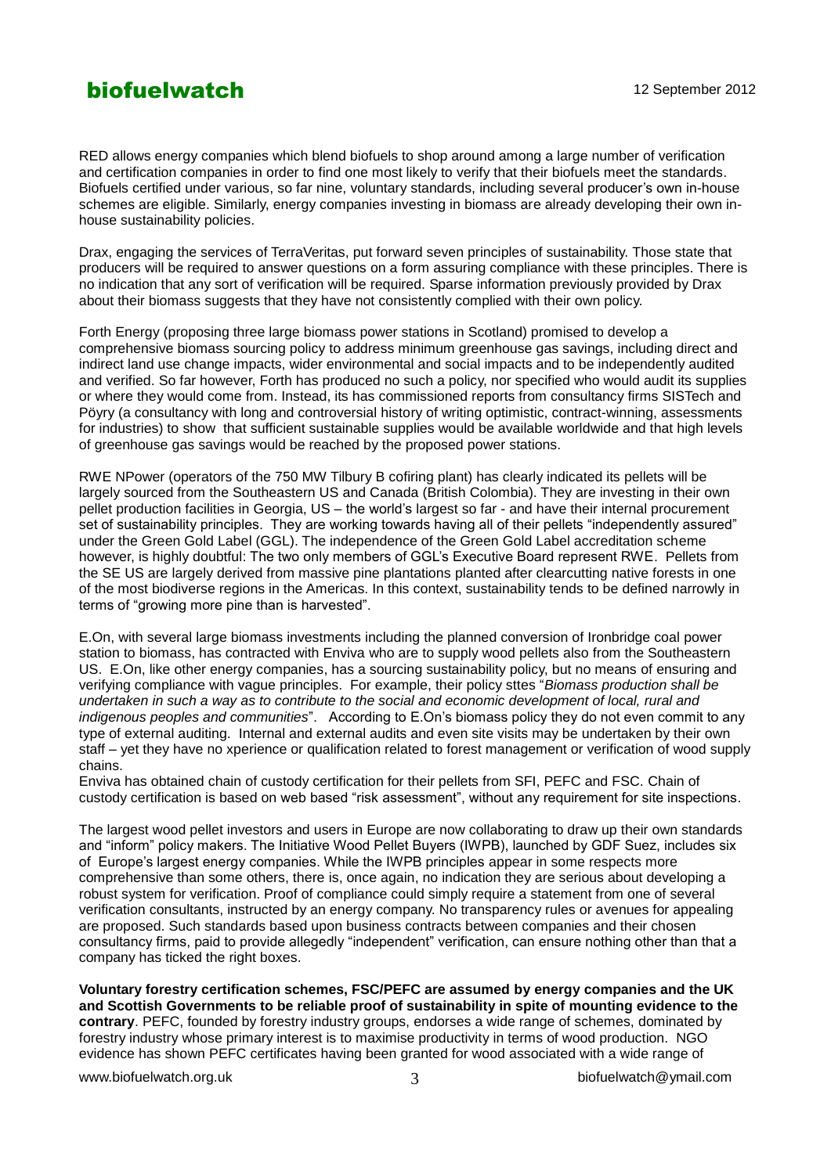### **biofuelwatch** 12 September 2012

RED allows energy companies which blend biofuels to shop around among a large number of verification and certification companies in order to find one most likely to verify that their biofuels meet the standards. Biofuels certified under various, so far nine, voluntary standards, including several producer's own in-house schemes are eligible. Similarly, energy companies investing in biomass are already developing their own inhouse sustainability policies.

Drax, engaging the services of TerraVeritas, put forward seven principles of sustainability. Those state that producers will be required to answer questions on a form assuring compliance with these principles. There is no indication that any sort of verification will be required. Sparse information previously provided by Drax about their biomass suggests that they have not consistently complied with their own policy.

Forth Energy (proposing three large biomass power stations in Scotland) promised to develop a comprehensive biomass sourcing policy to address minimum greenhouse gas savings, including direct and indirect land use change impacts, wider environmental and social impacts and to be independently audited and verified. So far however, Forth has produced no such a policy, nor specified who would audit its supplies or where they would come from. Instead, its has commissioned reports from consultancy firms SISTech and Pöyry (a consultancy with long and controversial history of writing optimistic, contract-winning, assessments for industries) to show that sufficient sustainable supplies would be available worldwide and that high levels of greenhouse gas savings would be reached by the proposed power stations.

RWE NPower (operators of the 750 MW Tilbury B cofiring plant) has clearly indicated its pellets will be largely sourced from the Southeastern US and Canada (British Colombia). They are investing in their own pellet production facilities in Georgia, US – the world's largest so far - and have their internal procurement set of sustainability principles. They are working towards having all of their pellets "independently assured" under the Green Gold Label (GGL). The independence of the Green Gold Label accreditation scheme however, is highly doubtful: The two only members of GGL's Executive Board represent RWE. Pellets from the SE US are largely derived from massive pine plantations planted after clearcutting native forests in one of the most biodiverse regions in the Americas. In this context, sustainability tends to be defined narrowly in terms of "growing more pine than is harvested".

E.On, with several large biomass investments including the planned conversion of Ironbridge coal power station to biomass, has contracted with Enviva who are to supply wood pellets also from the Southeastern US. E.On, like other energy companies, has a sourcing sustainability policy, but no means of ensuring and verifying compliance with vague principles. For example, their policy sttes "*Biomass production shall be undertaken in such a way as to contribute to the social and economic development of local, rural and indigenous peoples and communities*". According to E.On's biomass policy they do not even commit to any type of external auditing. Internal and external audits and even site visits may be undertaken by their own staff – yet they have no xperience or qualification related to forest management or verification of wood supply chains.

Enviva has obtained chain of custody certification for their pellets from SFI, PEFC and FSC. Chain of custody certification is based on web based "risk assessment", without any requirement for site inspections.

The largest wood pellet investors and users in Europe are now collaborating to draw up their own standards and "inform" policy makers. The Initiative Wood Pellet Buyers (IWPB), launched by GDF Suez, includes six of Europe's largest energy companies. While the IWPB principles appear in some respects more comprehensive than some others, there is, once again, no indication they are serious about developing a robust system for verification. Proof of compliance could simply require a statement from one of several verification consultants, instructed by an energy company. No transparency rules or avenues for appealing are proposed. Such standards based upon business contracts between companies and their chosen consultancy firms, paid to provide allegedly "independent" verification, can ensure nothing other than that a company has ticked the right boxes.

**Voluntary forestry certification schemes, FSC/PEFC are assumed by energy companies and the UK and Scottish Governments to be reliable proof of sustainability in spite of mounting evidence to the contrary**. PEFC, founded by forestry industry groups, endorses a wide range of schemes, dominated by forestry industry whose primary interest is to maximise productivity in terms of wood production. NGO evidence has shown PEFC certificates having been granted for wood associated with a wide range of